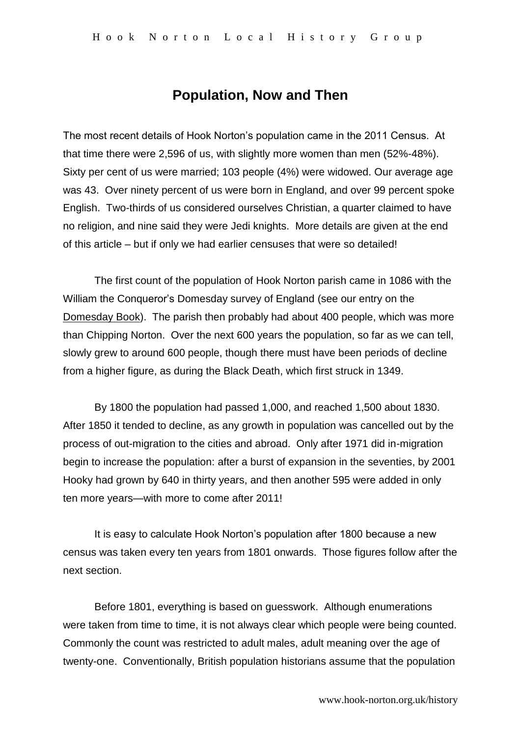# **Population, Now and Then**

The most recent details of Hook Norton's population came in the 2011 Census. At that time there were 2,596 of us, with slightly more women than men (52%-48%). Sixty per cent of us were married; 103 people (4%) were widowed. Our average age was 43. Over ninety percent of us were born in England, and over 99 percent spoke English. Two-thirds of us considered ourselves Christian, a quarter claimed to have no religion, and nine said they were Jedi knights. More details are given at the end of this article – but if only we had earlier censuses that were so detailed!

The first count of the population of Hook Norton parish came in 1086 with the William the Conqueror's Domesday survey of England (see our entry on the Domesday Book). The parish then probably had about 400 people, which was more than Chipping Norton. Over the next 600 years the population, so far as we can tell, slowly grew to around 600 people, though there must have been periods of decline from a higher figure, as during the Black Death, which first struck in 1349.

By 1800 the population had passed 1,000, and reached 1,500 about 1830. After 1850 it tended to decline, as any growth in population was cancelled out by the process of out-migration to the cities and abroad. Only after 1971 did in-migration begin to increase the population: after a burst of expansion in the seventies, by 2001 Hooky had grown by 640 in thirty years, and then another 595 were added in only ten more years—with more to come after 2011!

It is easy to calculate Hook Norton's population after 1800 because a new census was taken every ten years from 1801 onwards. Those figures follow after the next section.

Before 1801, everything is based on guesswork. Although enumerations were taken from time to time, it is not always clear which people were being counted. Commonly the count was restricted to adult males, adult meaning over the age of twenty-one. Conventionally, British population historians assume that the population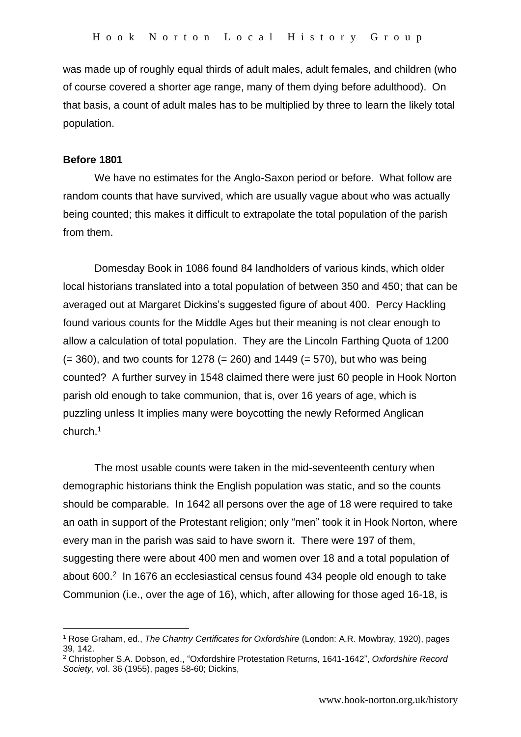was made up of roughly equal thirds of adult males, adult females, and children (who of course covered a shorter age range, many of them dying before adulthood). On that basis, a count of adult males has to be multiplied by three to learn the likely total population.

#### **Before 1801**

1

We have no estimates for the Anglo-Saxon period or before. What follow are random counts that have survived, which are usually vague about who was actually being counted; this makes it difficult to extrapolate the total population of the parish from them.

Domesday Book in 1086 found 84 landholders of various kinds, which older local historians translated into a total population of between 350 and 450; that can be averaged out at Margaret Dickins's suggested figure of about 400. Percy Hackling found various counts for the Middle Ages but their meaning is not clear enough to allow a calculation of total population. They are the Lincoln Farthing Quota of 1200  $(= 360)$ , and two counts for 1278 ( $= 260$ ) and 1449 ( $= 570$ ), but who was being counted? A further survey in 1548 claimed there were just 60 people in Hook Norton parish old enough to take communion, that is, over 16 years of age, which is puzzling unless It implies many were boycotting the newly Reformed Anglican church.<sup>1</sup>

The most usable counts were taken in the mid-seventeenth century when demographic historians think the English population was static, and so the counts should be comparable. In 1642 all persons over the age of 18 were required to take an oath in support of the Protestant religion; only "men" took it in Hook Norton, where every man in the parish was said to have sworn it. There were 197 of them, suggesting there were about 400 men and women over 18 and a total population of about 600.<sup>2</sup> In 1676 an ecclesiastical census found 434 people old enough to take Communion (i.e., over the age of 16), which, after allowing for those aged 16-18, is

<sup>1</sup> Rose Graham, ed., *The Chantry Certificates for Oxfordshire* (London: A.R. Mowbray, 1920), pages 39, 142.

<sup>2</sup> Christopher S.A. Dobson, ed., "Oxfordshire Protestation Returns, 1641-1642", *Oxfordshire Record Society*, vol. 36 (1955), pages 58-60; Dickins,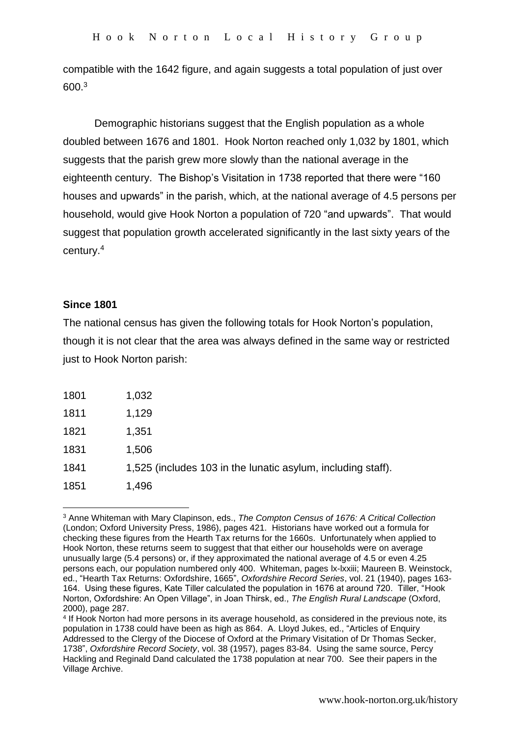compatible with the 1642 figure, and again suggests a total population of just over 600.<sup>3</sup>

Demographic historians suggest that the English population as a whole doubled between 1676 and 1801. Hook Norton reached only 1,032 by 1801, which suggests that the parish grew more slowly than the national average in the eighteenth century. The Bishop's Visitation in 1738 reported that there were "160 houses and upwards" in the parish, which, at the national average of 4.5 persons per household, would give Hook Norton a population of 720 "and upwards". That would suggest that population growth accelerated significantly in the last sixty years of the century. 4

## **Since 1801**

1

The national census has given the following totals for Hook Norton's population, though it is not clear that the area was always defined in the same way or restricted just to Hook Norton parish:

| 1801 | 1,032                                                        |
|------|--------------------------------------------------------------|
| 1811 | 1,129                                                        |
| 1821 | 1,351                                                        |
| 1831 | 1,506                                                        |
| 1841 | 1,525 (includes 103 in the lunatic asylum, including staff). |
| 1851 | 1,496                                                        |

<sup>3</sup> Anne Whiteman with Mary Clapinson, eds., *The Compton Census of 1676: A Critical Collection* (London; Oxford University Press, 1986), pages 421. Historians have worked out a formula for checking these figures from the Hearth Tax returns for the 1660s. Unfortunately when applied to Hook Norton, these returns seem to suggest that that either our households were on average unusually large (5.4 persons) or, if they approximated the national average of 4.5 or even 4.25 persons each, our population numbered only 400. Whiteman, pages lx-lxxiii; Maureen B. Weinstock, ed., "Hearth Tax Returns: Oxfordshire, 1665", *Oxfordshire Record Series*, vol. 21 (1940), pages 163- 164. Using these figures, Kate Tiller calculated the population in 1676 at around 720. Tiller, "Hook Norton, Oxfordshire: An Open Village", in Joan Thirsk, ed., *The English Rural Landscape* (Oxford, 2000), page 287.

<sup>4</sup> If Hook Norton had more persons in its average household, as considered in the previous note, its population in 1738 could have been as high as 864. A. Lloyd Jukes, ed., "Articles of Enquiry Addressed to the Clergy of the Diocese of Oxford at the Primary Visitation of Dr Thomas Secker, 1738", *Oxfordshire Record Society*, vol. 38 (1957), pages 83-84. Using the same source, Percy Hackling and Reginald Dand calculated the 1738 population at near 700. See their papers in the Village Archive.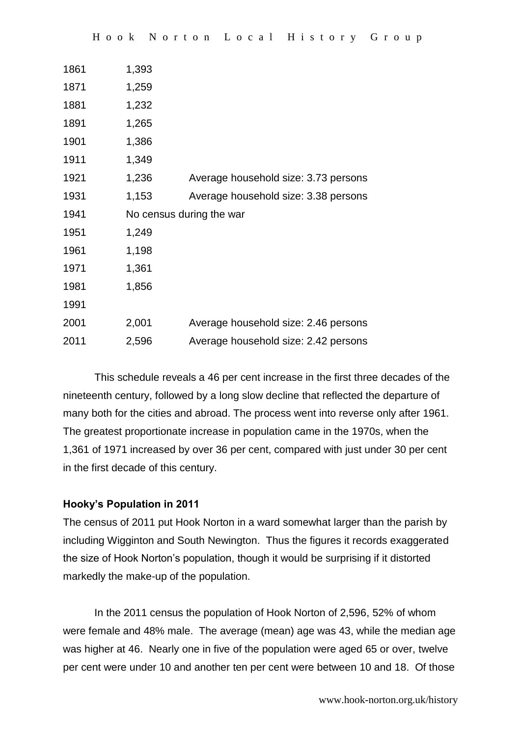| 1861 | 1,393                    |                                      |
|------|--------------------------|--------------------------------------|
| 1871 | 1,259                    |                                      |
| 1881 | 1,232                    |                                      |
| 1891 | 1,265                    |                                      |
| 1901 | 1,386                    |                                      |
| 1911 | 1,349                    |                                      |
| 1921 | 1,236                    | Average household size: 3.73 persons |
| 1931 | 1,153                    | Average household size: 3.38 persons |
| 1941 | No census during the war |                                      |
| 1951 | 1,249                    |                                      |
| 1961 | 1,198                    |                                      |
| 1971 | 1,361                    |                                      |
| 1981 | 1,856                    |                                      |
| 1991 |                          |                                      |
| 2001 | 2,001                    | Average household size: 2.46 persons |
| 2011 | 2,596                    | Average household size: 2.42 persons |
|      |                          |                                      |

This schedule reveals a 46 per cent increase in the first three decades of the nineteenth century, followed by a long slow decline that reflected the departure of many both for the cities and abroad. The process went into reverse only after 1961. The greatest proportionate increase in population came in the 1970s, when the 1,361 of 1971 increased by over 36 per cent, compared with just under 30 per cent in the first decade of this century.

## **Hooky's Population in 2011**

The census of 2011 put Hook Norton in a ward somewhat larger than the parish by including Wigginton and South Newington. Thus the figures it records exaggerated the size of Hook Norton's population, though it would be surprising if it distorted markedly the make-up of the population.

In the 2011 census the population of Hook Norton of 2,596, 52% of whom were female and 48% male. The average (mean) age was 43, while the median age was higher at 46. Nearly one in five of the population were aged 65 or over, twelve per cent were under 10 and another ten per cent were between 10 and 18. Of those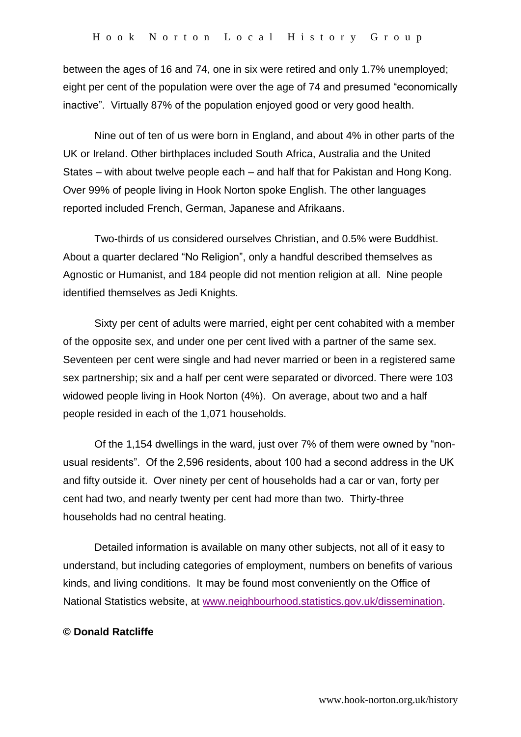between the ages of 16 and 74, one in six were retired and only 1.7% unemployed; eight per cent of the population were over the age of 74 and presumed "economically inactive". Virtually 87% of the population enjoyed good or very good health.

Nine out of ten of us were born in England, and about 4% in other parts of the UK or Ireland. Other birthplaces included South Africa, Australia and the United States – with about twelve people each – and half that for Pakistan and Hong Kong. Over 99% of people living in Hook Norton spoke English. The other languages reported included French, German, Japanese and Afrikaans.

Two-thirds of us considered ourselves Christian, and 0.5% were Buddhist. About a quarter declared "No Religion", only a handful described themselves as Agnostic or Humanist, and 184 people did not mention religion at all. Nine people identified themselves as Jedi Knights.

Sixty per cent of adults were married, eight per cent cohabited with a member of the opposite sex, and under one per cent lived with a partner of the same sex. Seventeen per cent were single and had never married or been in a registered same sex partnership; six and a half per cent were separated or divorced. There were 103 widowed people living in Hook Norton (4%). On average, about two and a half people resided in each of the 1,071 households.

Of the 1,154 dwellings in the ward, just over 7% of them were owned by "nonusual residents". Of the 2,596 residents, about 100 had a second address in the UK and fifty outside it. Over ninety per cent of households had a car or van, forty per cent had two, and nearly twenty per cent had more than two. Thirty-three households had no central heating.

Detailed information is available on many other subjects, not all of it easy to understand, but including categories of employment, numbers on benefits of various kinds, and living conditions. It may be found most conveniently on the Office of National Statistics website, at [www.neighbourhood.statistics.gov.uk/dissemination.](http://www.neighbourhood.statistics.gov.uk/dissemination)

#### **© Donald Ratcliffe**